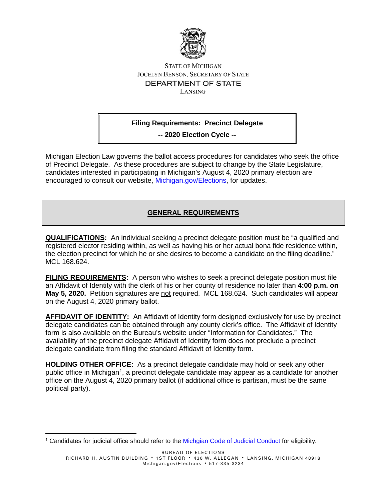

## **STATE OF MICHIGAN JOCELYN BENSON, SECRETARY OF STATE** DEPARTMENT OF STATE LANSING

## **Filing Requirements: Precinct Delegate**

**-- 2020 Election Cycle --**

Michigan Election Law governs the ballot access procedures for candidates who seek the office of Precinct Delegate. As these procedures are subject to change by the State Legislature, candidates interested in participating in Michigan's August 4, 2020 primary election are encouraged to consult our website, [Michigan.gov/Elections,](http://www.michigan.gov/elections) for updates.

## **GENERAL REQUIREMENTS**

**QUALIFICATIONS:** An individual seeking a precinct delegate position must be "a qualified and registered elector residing within, as well as having his or her actual bona fide residence within, the election precinct for which he or she desires to become a candidate on the filing deadline." MCL 168.624.

**FILING REQUIREMENTS:** A person who wishes to seek a precinct delegate position must file an Affidavit of Identity with the clerk of his or her county of residence no later than **4:00 p.m. on May 5, 2020.** Petition signatures are not required. MCL 168.624. Such candidates will appear on the August 4, 2020 primary ballot.

**AFFIDAVIT OF IDENTITY:** An Affidavit of Identity form designed exclusively for use by precinct delegate candidates can be obtained through any county clerk's office. The Affidavit of Identity form is also available on the Bureau's website under "Information for Candidates." The availability of the precinct delegate Affidavit of Identity form does not preclude a precinct delegate candidate from filing the standard Affidavit of Identity form.

**HOLDING OTHER OFFICE:** As a precinct delegate candidate may hold or seek any other public office in Michigan<sup>[1](#page-0-0)</sup>, a precinct delegate candidate may appear as a candidate for another office on the August 4, 2020 primary ballot (if additional office is partisan, must be the same political party).

 $\overline{a}$ 

<span id="page-0-0"></span><sup>&</sup>lt;sup>1</sup> Candidates for judicial office should refer to the Michgian Code of Judicial Conduct for eligibility.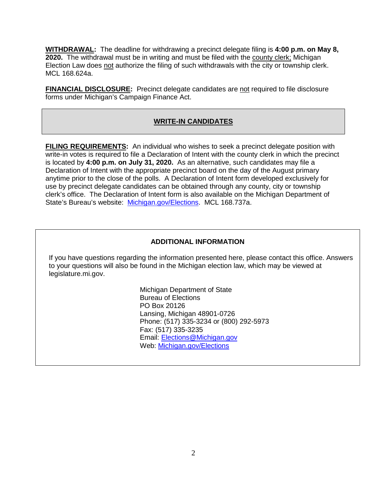**WITHDRAWAL:** The deadline for withdrawing a precinct delegate filing is **4:00 p.m. on May 8, 2020.** The withdrawal must be in writing and must be filed with the county clerk; Michigan Election Law does not authorize the filing of such withdrawals with the city or township clerk. MCL 168.624a.

**FINANCIAL DISCLOSURE:** Precinct delegate candidates are not required to file disclosure forms under Michigan's Campaign Finance Act.

#### **WRITE-IN CANDIDATES**

**FILING REQUIREMENTS:** An individual who wishes to seek a precinct delegate position with write-in votes is required to file a Declaration of Intent with the county clerk in which the precinct is located by **4:00 p.m. on July 31, 2020.** As an alternative, such candidates may file a Declaration of Intent with the appropriate precinct board on the day of the August primary anytime prior to the close of the polls. A Declaration of Intent form developed exclusively for use by precinct delegate candidates can be obtained through any county, city or township clerk's office. The Declaration of Intent form is also available on the Michigan Department of State's Bureau's website: [Michigan.gov/Elections.](http://www.michigan.gov/elections) MCL 168.737a.

#### **ADDITIONAL INFORMATION**

If you have questions regarding the information presented here, please contact this office. Answers to your questions will also be found in the Michigan election law, which may be viewed at legislature.mi.gov.

> Michigan Department of State Bureau of Elections PO Box 20126 Lansing, Michigan 48901-0726 Phone: (517) 335-3234 or (800) 292-5973 Fax: (517) 335-3235 Email: [Elections@Michigan.gov](mailto:Elections@Michigan.gov) Web: [Michigan.gov/Elections](http://www.michigan.gov/elections)